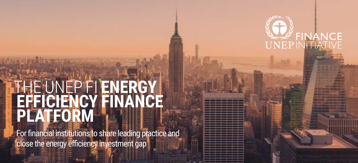

### THE UNEP FI **ENERGY EFFICIENCY FINANCE PLATFORM**

For financial institutions to share leading practice and close the energy efficiency investment gap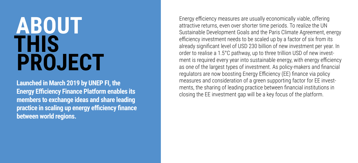# **ABOUT THIS PROJECT**

**Launched in March 2019 by UNEP FI, the Energy Efficiency Finance Platform enables its members to exchange ideas and share leading practice in scaling up energy efficiency finance between world regions.**

Energy efficiency measures are usually economically viable, offering attractive returns, even over shorter time periods. To realize the UN Sustainable Development Goals and the Paris Climate Agreement, energy efficiency investment needs to be scaled up by a factor of six from its already significant level of USD 230 billion of new investment per year. In order to realise a 1.5°C pathway, up to three trillion USD of new investment is required every year into sustainable energy, with energy efficiency as one of the largest types of investment. As policy-makers and financial regulators are now boosting Energy Efficiency (EE) finance via policy measures and consideration of a green supporting factor for EE investments, the sharing of leading practice between financial institutions in closing the EE investment gap will be a key focus of the platform.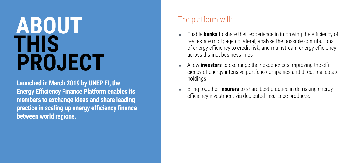# **ABOUT THIS PROJECT**

**Launched in March 2019 by UNEP FI, the Energy Efficiency Finance Platform enables its members to exchange ideas and share leading practice in scaling up energy efficiency finance between world regions.**

#### The platform will:

- Enable **banks** to share their experience in improving the efficiency of real estate mortgage collateral, analyse the possible contributions of energy efficiency to credit risk, and mainstream energy efficiency across distinct business lines
- **EXEC** Allow **investors** to exchange their experiences improving the efficiency of energy intensive portfolio companies and direct real estate holdings
- **EXECT** Bring together **insurers** to share best practice in de-risking energy efficiency investment via dedicated insurance products.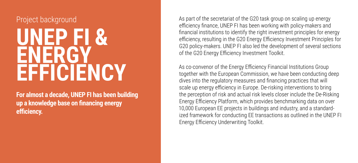#### Project background

## **UNEP FI & ENERGY EFFICIENCY**

**For almost a decade, UNEP FI has been building up a knowledge base on financing energy efficiency.**

As part of the secretariat of the G20 task group on scaling up energy efficiency finance, UNEP FI has been working with policy-makers and financial institutions to identify the right investment principles for energy efficiency, resulting in the G20 Energy Efficiency Investment Principles for G20 policy-makers. UNEP FI also led the development of several sections of the G20 Energy Efficiency Investment Toolkit.

As co-convenor of the Energy Efficiency Financial Institutions Group together with the European Commission, we have been conducting deep dives into the regulatory measures and financing practices that will scale up energy efficiency in Europe. De-risking interventions to bring the perception of risk and actual risk levels closer include the De-Risking Energy Efficiency Platform, which provides benchmarking data on over 10,000 European EE projects in buildings and industry, and a standardized framework for conducting EE transactions as outlined in the UNEP FI Energy Efficiency Underwriting Toolkit.